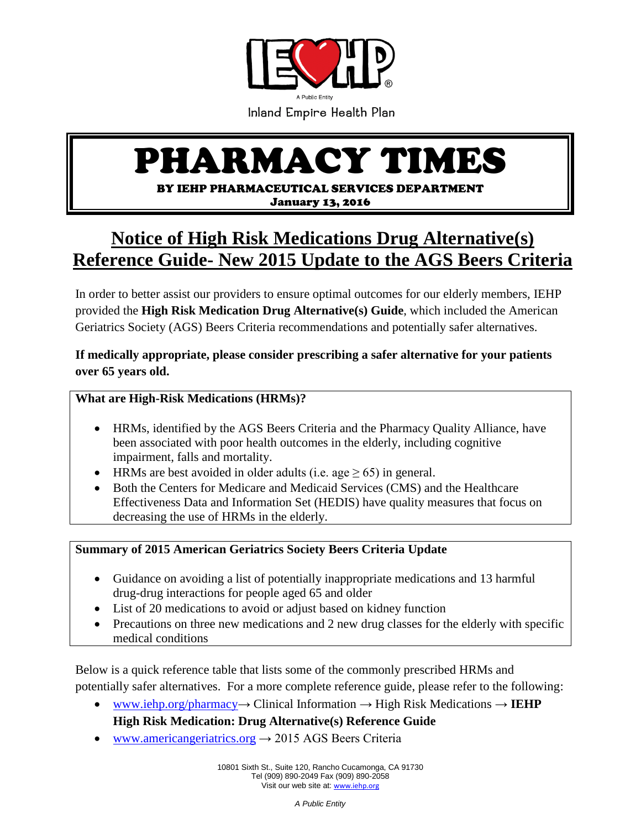

# PHARMACY TIMES

BY IEHP PHARMACEUTICAL SERVICES DEPARTMENT

January 13, 2016

## **Notice of High Risk Medications Drug Alternative(s) Reference Guide- New 2015 Update to the AGS Beers Criteria**

In order to better assist our providers to ensure optimal outcomes for our elderly members, IEHP provided the **High Risk Medication Drug Alternative(s) Guide**, which included the American Geriatrics Society (AGS) Beers Criteria recommendations and potentially safer alternatives.

**If medically appropriate, please consider prescribing a safer alternative for your patients over 65 years old.**

#### **What are High-Risk Medications (HRMs)?**

- HRMs, identified by the AGS Beers Criteria and the Pharmacy Quality Alliance, have been associated with poor health outcomes in the elderly, including cognitive impairment, falls and mortality.
- HRMs are best avoided in older adults (i.e. age  $\geq 65$ ) in general.
- Both the Centers for Medicare and Medicaid Services (CMS) and the Healthcare Effectiveness Data and Information Set (HEDIS) have quality measures that focus on decreasing the use of HRMs in the elderly.

#### **Summary of 2015 American Geriatrics Society Beers Criteria Update**

- Guidance on avoiding a list of potentially inappropriate medications and 13 harmful drug-drug interactions for people aged 65 and older
- List of 20 medications to avoid or adjust based on kidney function
- Precautions on three new medications and 2 new drug classes for the elderly with specific medical conditions

Below is a quick reference table that lists some of the commonly prescribed HRMs and potentially safer alternatives. For a more complete reference guide, please refer to the following:

 $\bullet$  www.iehp.org/pharmacy  $\rightarrow$  Clinical Information  $\rightarrow$  High Risk Medications  $\rightarrow$  **IEHP** 

### **High Risk Medication: Drug Alternative(s) Reference Guide**

• [www.americangeriatrics.org](http://www.americangeriatrics.org/)  $\rightarrow$  2015 AGS Beers Criteria